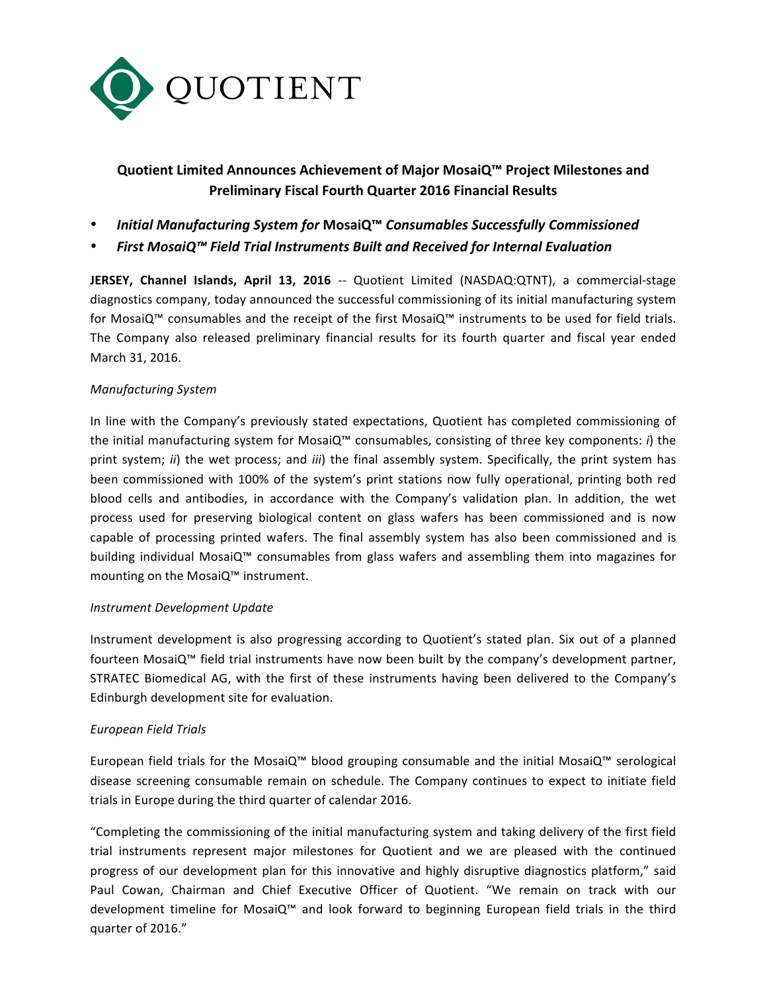

# **Quotient Limited Announces Achievement of Major MosaiQ™ Project Milestones and Preliminary Fiscal Fourth Quarter 2016 Financial Results**

- *Initial Manufacturing System for* **MosaiQ™** *Consumables Successfully Commissioned*
- *First MosaiQ™ Field Trial Instruments Built and Received for Internal Evaluation*

**JERSEY, Channel Islands, April 13, 2016** -- Quotient Limited (NASDAQ:QTNT), a commercial-stage diagnostics company, today announced the successful commissioning of its initial manufacturing system for MosaiQ™ consumables and the receipt of the first MosaiQ™ instruments to be used for field trials. The Company also released preliminary financial results for its fourth quarter and fiscal year ended March 31, 2016.

## *Manufacturing System*

In line with the Company's previously stated expectations, Quotient has completed commissioning of the initial manufacturing system for MosaiQ™ consumables, consisting of three key components: *i*) the print system; *ii*) the wet process; and *iii*) the final assembly system. Specifically, the print system has been commissioned with 100% of the system's print stations now fully operational, printing both red blood cells and antibodies, in accordance with the Company's validation plan. In addition, the wet process used for preserving biological content on glass wafers has been commissioned and is now capable of processing printed wafers. The final assembly system has also been commissioned and is building individual MosaiQ™ consumables from glass wafers and assembling them into magazines for mounting on the MosaiQ™ instrument.

#### *Instrument Development Update*

Instrument development is also progressing according to Quotient's stated plan. Six out of a planned fourteen MosaiQ<sup>™</sup> field trial instruments have now been built by the company's development partner, STRATEC Biomedical AG, with the first of these instruments having been delivered to the Company's Edinburgh development site for evaluation.

#### *European Field Trials*

European field trials for the MosaiQ™ blood grouping consumable and the initial MosaiQ™ serological disease screening consumable remain on schedule. The Company continues to expect to initiate field trials in Europe during the third quarter of calendar 2016.

"Completing the commissioning of the initial manufacturing system and taking delivery of the first field trial instruments represent major milestones for Quotient and we are pleased with the continued progress of our development plan for this innovative and highly disruptive diagnostics platform," said Paul Cowan, Chairman and Chief Executive Officer of Quotient. "We remain on track with our development timeline for MosaiQ™ and look forward to beginning European field trials in the third quarter of 2016."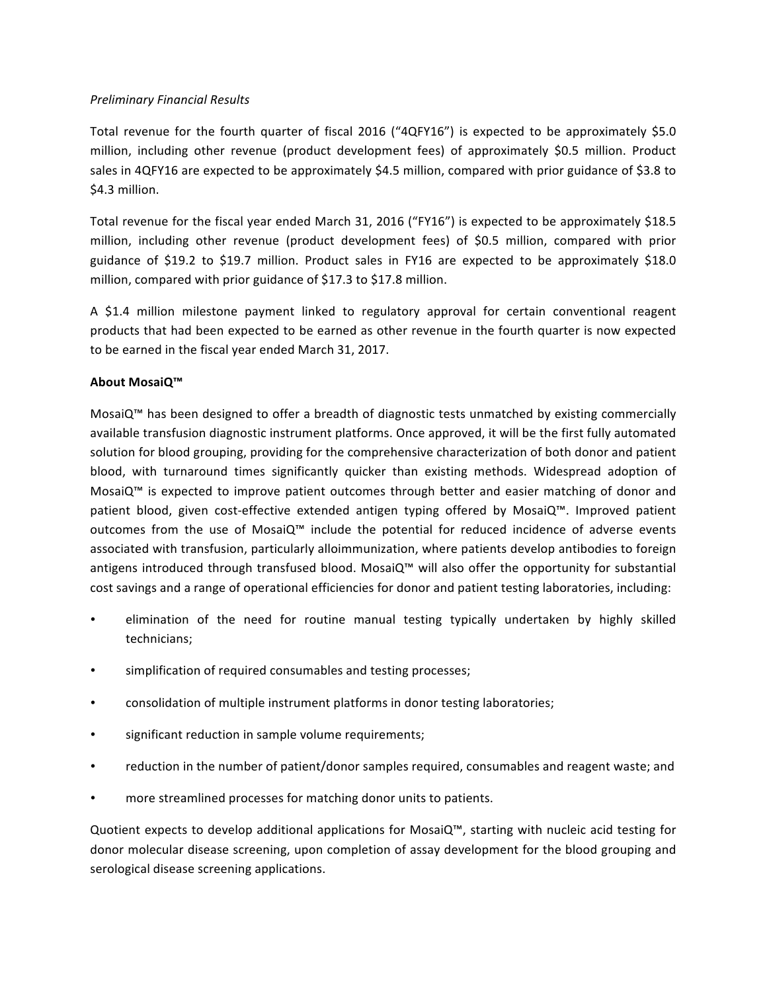## *Preliminary Financial Results*

Total revenue for the fourth quarter of fiscal  $2016$  ("4QFY16") is expected to be approximately \$5.0 million, including other revenue (product development fees) of approximately \$0.5 million. Product sales in 4QFY16 are expected to be approximately \$4.5 million, compared with prior guidance of \$3.8 to \$4.3 million.

Total revenue for the fiscal year ended March 31, 2016 ("FY16") is expected to be approximately \$18.5 million, including other revenue (product development fees) of \$0.5 million, compared with prior guidance of \$19.2 to \$19.7 million. Product sales in FY16 are expected to be approximately \$18.0 million, compared with prior guidance of \$17.3 to \$17.8 million.

A \$1.4 million milestone payment linked to regulatory approval for certain conventional reagent products that had been expected to be earned as other revenue in the fourth quarter is now expected to be earned in the fiscal year ended March 31, 2017.

## **About MosaiQ™**

MosaiQ™ has been designed to offer a breadth of diagnostic tests unmatched by existing commercially available transfusion diagnostic instrument platforms. Once approved, it will be the first fully automated solution for blood grouping, providing for the comprehensive characterization of both donor and patient blood, with turnaround times significantly quicker than existing methods. Widespread adoption of MosaiQ™ is expected to improve patient outcomes through better and easier matching of donor and patient blood, given cost-effective extended antigen typing offered by MosaiQ™. Improved patient outcomes from the use of MosaiQ<sup>™</sup> include the potential for reduced incidence of adverse events associated with transfusion, particularly alloimmunization, where patients develop antibodies to foreign antigens introduced through transfused blood. MosaiQ™ will also offer the opportunity for substantial cost savings and a range of operational efficiencies for donor and patient testing laboratories, including:

- elimination of the need for routine manual testing typically undertaken by highly skilled technicians;
- simplification of required consumables and testing processes;
- consolidation of multiple instrument platforms in donor testing laboratories;
- significant reduction in sample volume requirements;
- reduction in the number of patient/donor samples required, consumables and reagent waste; and
- more streamlined processes for matching donor units to patients.

Quotient expects to develop additional applications for MosaiQ™, starting with nucleic acid testing for donor molecular disease screening, upon completion of assay development for the blood grouping and serological disease screening applications.